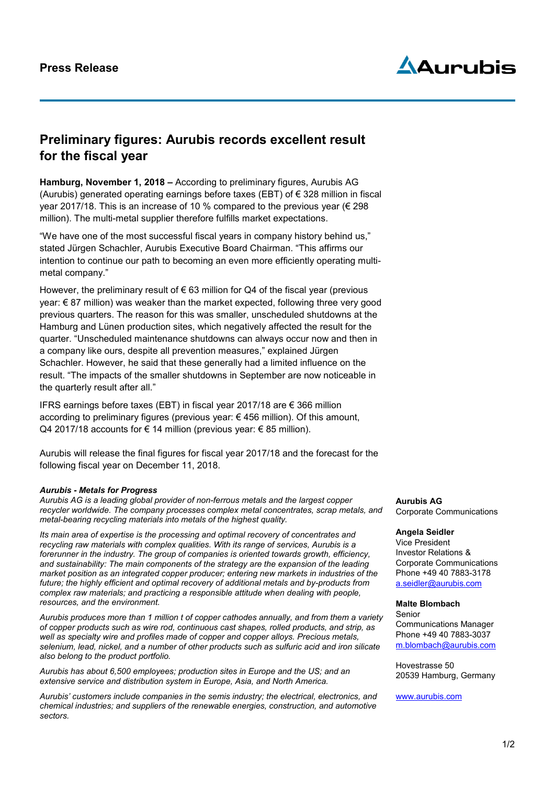

## **Preliminary figures: Aurubis records excellent result for the fiscal year**

**Hamburg, November 1, 2018 –** According to preliminary figures, Aurubis AG (Aurubis) generated operating earnings before taxes (EBT) of  $\epsilon$  328 million in fiscal year 2017/18. This is an increase of 10 % compared to the previous year (€ 298 million). The multi-metal supplier therefore fulfills market expectations.

"We have one of the most successful fiscal years in company history behind us," stated Jürgen Schachler, Aurubis Executive Board Chairman. "This affirms our intention to continue our path to becoming an even more efficiently operating multimetal company."

However, the preliminary result of  $\epsilon$  63 million for Q4 of the fiscal year (previous year: € 87 million) was weaker than the market expected, following three very good previous quarters. The reason for this was smaller, unscheduled shutdowns at the Hamburg and Lünen production sites, which negatively affected the result for the quarter. "Unscheduled maintenance shutdowns can always occur now and then in a company like ours, despite all prevention measures," explained Jürgen Schachler. However, he said that these generally had a limited influence on the result. "The impacts of the smaller shutdowns in September are now noticeable in the quarterly result after all."

IFRS earnings before taxes (EBT) in fiscal year 2017/18 are € 366 million according to preliminary figures (previous year: € 456 million). Of this amount, Q4 2017/18 accounts for € 14 million (previous year:  $€ 85$  million).

Aurubis will release the final figures for fiscal year 2017/18 and the forecast for the following fiscal year on December 11, 2018.

## *Aurubis - Metals for Progress*

*Aurubis AG is a leading global provider of non-ferrous metals and the largest copper recycler worldwide. The company processes complex metal concentrates, scrap metals, and metal-bearing recycling materials into metals of the highest quality.* 

*Its main area of expertise is the processing and optimal recovery of concentrates and recycling raw materials with complex qualities. With its range of services, Aurubis is a forerunner in the industry. The group of companies is oriented towards growth, efficiency, and sustainability: The main components of the strategy are the expansion of the leading market position as an integrated copper producer; entering new markets in industries of the future; the highly efficient and optimal recovery of additional metals and by-products from complex raw materials; and practicing a responsible attitude when dealing with people, resources, and the environment.*

*Aurubis produces more than 1 million t of copper cathodes annually, and from them a variety of copper products such as wire rod, continuous cast shapes, rolled products, and strip, as well as specialty wire and profiles made of copper and copper alloys. Precious metals, selenium, lead, nickel, and a number of other products such as sulfuric acid and iron silicate also belong to the product portfolio.*

*Aurubis has about 6,500 employees; production sites in Europe and the US; and an extensive service and distribution system in Europe, Asia, and North America.* 

*Aurubis' customers include companies in the semis industry; the electrical, electronics, and chemical industries; and suppliers of the renewable energies, construction, and automotive sectors.*

**Aurubis AG** Corporate Communications

## **Angela Seidler**

Vice President Investor Relations & Corporate Communications Phone +49 40 7883-3178 a.seidler@aurubis.com

## **Malte Blombach**

Senior Communications Manager Phone +49 40 7883-3037 [m.blombach@aurubis.com](mailto:m.blombach@aurubis.com)

Hovestrasse 50 20539 Hamburg, Germany

[www.aurubis.com](http://www.aurubis.com/)